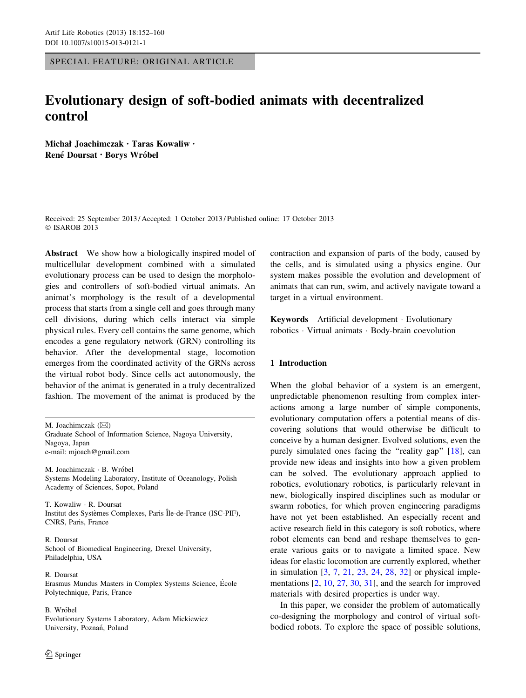SPECIAL FEATURE: ORIGINAL ARTICLE

# Evolutionary design of soft-bodied animats with decentralized control

Michał Joachimczak • Taras Kowaliw • René Doursat · Borys Wróbel

Received: 25 September 2013 / Accepted: 1 October 2013 / Published online: 17 October 2013 © ISAROB 2013

Abstract We show how a biologically inspired model of multicellular development combined with a simulated evolutionary process can be used to design the morphologies and controllers of soft-bodied virtual animats. An animat's morphology is the result of a developmental process that starts from a single cell and goes through many cell divisions, during which cells interact via simple physical rules. Every cell contains the same genome, which encodes a gene regulatory network (GRN) controlling its behavior. After the developmental stage, locomotion emerges from the coordinated activity of the GRNs across the virtual robot body. Since cells act autonomously, the behavior of the animat is generated in a truly decentralized fashion. The movement of the animat is produced by the

M. Joachimczak  $(\boxtimes)$ Graduate School of Information Science, Nagoya University, Nagoya, Japan e-mail: mjoach@gmail.com

M. Joachimczak · B. Wróbel Systems Modeling Laboratory, Institute of Oceanology, Polish Academy of Sciences, Sopot, Poland

T. Kowaliw - R. Doursat Institut des Systèmes Complexes, Paris Île-de-France (ISC-PIF), CNRS, Paris, France

R. Doursat School of Biomedical Engineering, Drexel University, Philadelphia, USA

R. Doursat Erasmus Mundus Masters in Complex Systems Science, École Polytechnique, Paris, France

B. Wróbel Evolutionary Systems Laboratory, Adam Mickiewicz University, Poznań, Poland

contraction and expansion of parts of the body, caused by the cells, and is simulated using a physics engine. Our system makes possible the evolution and development of animats that can run, swim, and actively navigate toward a target in a virtual environment.

Keywords Artificial development - Evolutionary robotics - Virtual animats - Body-brain coevolution

## 1 Introduction

When the global behavior of a system is an emergent, unpredictable phenomenon resulting from complex interactions among a large number of simple components, evolutionary computation offers a potential means of discovering solutions that would otherwise be difficult to conceive by a human designer. Evolved solutions, even the purely simulated ones facing the "reality gap" [\[18](#page-7-0)], can provide new ideas and insights into how a given problem can be solved. The evolutionary approach applied to robotics, evolutionary robotics, is particularly relevant in new, biologically inspired disciplines such as modular or swarm robotics, for which proven engineering paradigms have not yet been established. An especially recent and active research field in this category is soft robotics, where robot elements can bend and reshape themselves to generate various gaits or to navigate a limited space. New ideas for elastic locomotion are currently explored, whether in simulation [[3,](#page-7-0) [7,](#page-7-0) [21,](#page-8-0) [23,](#page-8-0) [24,](#page-8-0) [28,](#page-8-0) [32\]](#page-8-0) or physical implementations [\[2](#page-7-0), [10](#page-7-0), [27,](#page-8-0) [30,](#page-8-0) [31\]](#page-8-0), and the search for improved materials with desired properties is under way.

In this paper, we consider the problem of automatically co-designing the morphology and control of virtual softbodied robots. To explore the space of possible solutions,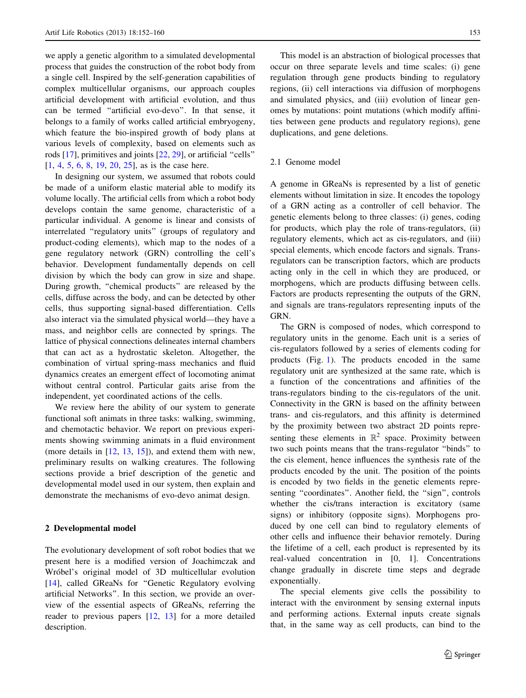we apply a genetic algorithm to a simulated developmental process that guides the construction of the robot body from a single cell. Inspired by the self-generation capabilities of complex multicellular organisms, our approach couples artificial development with artificial evolution, and thus can be termed ''artificial evo-devo''. In that sense, it belongs to a family of works called artificial embryogeny, which feature the bio-inspired growth of body plans at various levels of complexity, based on elements such as rods [[17\]](#page-7-0), primitives and joints [\[22,](#page-8-0) [29\]](#page-8-0), or artificial ''cells'' [\[1](#page-7-0), [4](#page-7-0), [5,](#page-7-0) [6,](#page-7-0) [8,](#page-7-0) [19](#page-8-0), [20](#page-8-0), [25\]](#page-8-0), as is the case here.

In designing our system, we assumed that robots could be made of a uniform elastic material able to modify its volume locally. The artificial cells from which a robot body develops contain the same genome, characteristic of a particular individual. A genome is linear and consists of interrelated ''regulatory units'' (groups of regulatory and product-coding elements), which map to the nodes of a gene regulatory network (GRN) controlling the cell's behavior. Development fundamentally depends on cell division by which the body can grow in size and shape. During growth, ''chemical products'' are released by the cells, diffuse across the body, and can be detected by other cells, thus supporting signal-based differentiation. Cells also interact via the simulated physical world—they have a mass, and neighbor cells are connected by springs. The lattice of physical connections delineates internal chambers that can act as a hydrostatic skeleton. Altogether, the combination of virtual spring-mass mechanics and fluid dynamics creates an emergent effect of locomoting animat without central control. Particular gaits arise from the independent, yet coordinated actions of the cells.

We review here the ability of our system to generate functional soft animats in three tasks: walking, swimming, and chemotactic behavior. We report on previous experiments showing swimming animats in a fluid environment (more details in [[12,](#page-7-0) [13,](#page-7-0) [15\]](#page-7-0)), and extend them with new, preliminary results on walking creatures. The following sections provide a brief description of the genetic and developmental model used in our system, then explain and demonstrate the mechanisms of evo-devo animat design.

## 2 Developmental model

The evolutionary development of soft robot bodies that we present here is a modified version of Joachimczak and Wróbel's original model of 3D multicellular evolution [\[14](#page-7-0)], called GReaNs for "Genetic Regulatory evolving artificial Networks''. In this section, we provide an overview of the essential aspects of GReaNs, referring the reader to previous papers [[12,](#page-7-0) [13](#page-7-0)] for a more detailed description.

This model is an abstraction of biological processes that occur on three separate levels and time scales: (i) gene regulation through gene products binding to regulatory regions, (ii) cell interactions via diffusion of morphogens and simulated physics, and (iii) evolution of linear genomes by mutations: point mutations (which modify affinities between gene products and regulatory regions), gene duplications, and gene deletions.

## 2.1 Genome model

A genome in GReaNs is represented by a list of genetic elements without limitation in size. It encodes the topology of a GRN acting as a controller of cell behavior. The genetic elements belong to three classes: (i) genes, coding for products, which play the role of trans-regulators, (ii) regulatory elements, which act as cis-regulators, and (iii) special elements, which encode factors and signals. Transregulators can be transcription factors, which are products acting only in the cell in which they are produced, or morphogens, which are products diffusing between cells. Factors are products representing the outputs of the GRN, and signals are trans-regulators representing inputs of the GRN.

The GRN is composed of nodes, which correspond to regulatory units in the genome. Each unit is a series of cis-regulators followed by a series of elements coding for products (Fig. [1\)](#page-2-0). The products encoded in the same regulatory unit are synthesized at the same rate, which is a function of the concentrations and affinities of the trans-regulators binding to the cis-regulators of the unit. Connectivity in the GRN is based on the affinity between trans- and cis-regulators, and this affinity is determined by the proximity between two abstract 2D points representing these elements in  $\mathbb{R}^2$  space. Proximity between two such points means that the trans-regulator ''binds'' to the cis element, hence influences the synthesis rate of the products encoded by the unit. The position of the points is encoded by two fields in the genetic elements representing "coordinates". Another field, the "sign", controls whether the cis/trans interaction is excitatory (same signs) or inhibitory (opposite signs). Morphogens produced by one cell can bind to regulatory elements of other cells and influence their behavior remotely. During the lifetime of a cell, each product is represented by its real-valued concentration in [0, 1]. Concentrations change gradually in discrete time steps and degrade exponentially.

The special elements give cells the possibility to interact with the environment by sensing external inputs and performing actions. External inputs create signals that, in the same way as cell products, can bind to the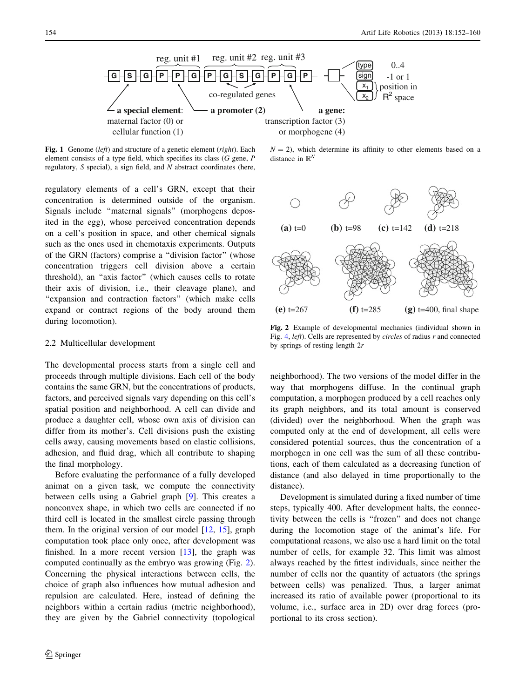<span id="page-2-0"></span>

Fig. 1 Genome (left) and structure of a genetic element (right). Each element consists of a type field, which specifies its class (G gene, P regulatory, S special), a sign field, and N abstract coordinates (here,

regulatory elements of a cell's GRN, except that their concentration is determined outside of the organism. Signals include ''maternal signals'' (morphogens deposited in the egg), whose perceived concentration depends on a cell's position in space, and other chemical signals such as the ones used in chemotaxis experiments. Outputs of the GRN (factors) comprise a ''division factor'' (whose concentration triggers cell division above a certain threshold), an ''axis factor'' (which causes cells to rotate their axis of division, i.e., their cleavage plane), and "expansion and contraction factors" (which make cells expand or contract regions of the body around them during locomotion).

#### 2.2 Multicellular development

The developmental process starts from a single cell and proceeds through multiple divisions. Each cell of the body contains the same GRN, but the concentrations of products, factors, and perceived signals vary depending on this cell's spatial position and neighborhood. A cell can divide and produce a daughter cell, whose own axis of division can differ from its mother's. Cell divisions push the existing cells away, causing movements based on elastic collisions, adhesion, and fluid drag, which all contribute to shaping the final morphology.

Before evaluating the performance of a fully developed animat on a given task, we compute the connectivity between cells using a Gabriel graph [[9\]](#page-7-0). This creates a nonconvex shape, in which two cells are connected if no third cell is located in the smallest circle passing through them. In the original version of our model  $[12, 15]$  $[12, 15]$  $[12, 15]$  $[12, 15]$ , graph computation took place only once, after development was finished. In a more recent version  $[13]$  $[13]$ , the graph was computed continually as the embryo was growing (Fig. 2). Concerning the physical interactions between cells, the choice of graph also influences how mutual adhesion and repulsion are calculated. Here, instead of defining the neighbors within a certain radius (metric neighborhood), they are given by the Gabriel connectivity (topological

 $N = 2$ ), which determine its affinity to other elements based on a distance in  $\mathbb{R}^N$ 



Fig. 2 Example of developmental mechanics (individual shown in Fig. [4,](#page-4-0) left). Cells are represented by circles of radius r and connected by springs of resting length 2r

neighborhood). The two versions of the model differ in the way that morphogens diffuse. In the continual graph computation, a morphogen produced by a cell reaches only its graph neighbors, and its total amount is conserved (divided) over the neighborhood. When the graph was computed only at the end of development, all cells were considered potential sources, thus the concentration of a morphogen in one cell was the sum of all these contributions, each of them calculated as a decreasing function of distance (and also delayed in time proportionally to the distance).

Development is simulated during a fixed number of time steps, typically 400. After development halts, the connectivity between the cells is ''frozen'' and does not change during the locomotion stage of the animat's life. For computational reasons, we also use a hard limit on the total number of cells, for example 32. This limit was almost always reached by the fittest individuals, since neither the number of cells nor the quantity of actuators (the springs between cells) was penalized. Thus, a larger animat increased its ratio of available power (proportional to its volume, i.e., surface area in 2D) over drag forces (proportional to its cross section).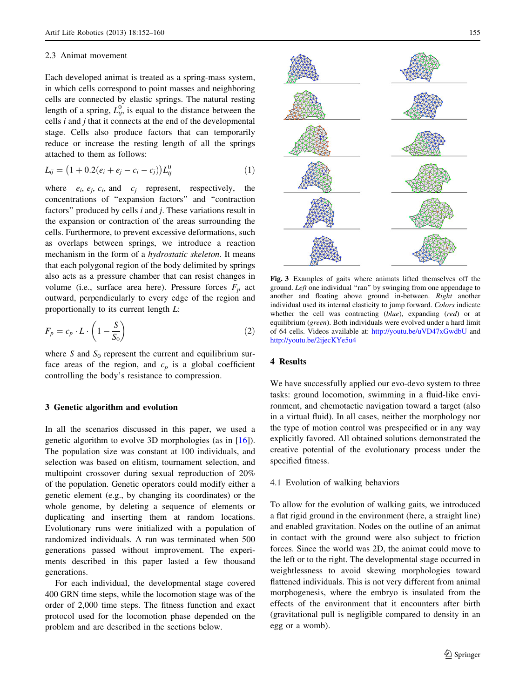#### <span id="page-3-0"></span>2.3 Animat movement

Each developed animat is treated as a spring-mass system, in which cells correspond to point masses and neighboring cells are connected by elastic springs. The natural resting length of a spring,  $L_{ij}^0$ , is equal to the distance between the cells  $i$  and  $j$  that it connects at the end of the developmental stage. Cells also produce factors that can temporarily reduce or increase the resting length of all the springs attached to them as follows:

$$
L_{ij} = (1 + 0.2(e_i + e_j - c_i - c_j))L_{ij}^0
$$
 (1)

where  $e_i$ ,  $e_j$ ,  $c_i$ , and  $c_j$  represent, respectively, the concentrations of ''expansion factors'' and ''contraction factors" produced by cells  $i$  and  $j$ . These variations result in the expansion or contraction of the areas surrounding the cells. Furthermore, to prevent excessive deformations, such as overlaps between springs, we introduce a reaction mechanism in the form of a hydrostatic skeleton. It means that each polygonal region of the body delimited by springs also acts as a pressure chamber that can resist changes in volume (i.e., surface area here). Pressure forces  $F_p$  act outward, perpendicularly to every edge of the region and proportionally to its current length L:

$$
F_p = c_p \cdot L \cdot \left(1 - \frac{S}{S_0}\right) \tag{2}
$$

where S and  $S_0$  represent the current and equilibrium surface areas of the region, and  $c_p$  is a global coefficient controlling the body's resistance to compression.

## 3 Genetic algorithm and evolution

In all the scenarios discussed in this paper, we used a genetic algorithm to evolve 3D morphologies (as in [[16](#page-7-0)]). The population size was constant at 100 individuals, and selection was based on elitism, tournament selection, and multipoint crossover during sexual reproduction of 20% of the population. Genetic operators could modify either a genetic element (e.g., by changing its coordinates) or the whole genome, by deleting a sequence of elements or duplicating and inserting them at random locations. Evolutionary runs were initialized with a population of randomized individuals. A run was terminated when 500 generations passed without improvement. The experiments described in this paper lasted a few thousand generations.

For each individual, the developmental stage covered 400 GRN time steps, while the locomotion stage was of the order of 2,000 time steps. The fitness function and exact protocol used for the locomotion phase depended on the problem and are described in the sections below.



Fig. 3 Examples of gaits where animats lifted themselves off the ground. Left one individual "ran" by swinging from one appendage to another and floating above ground in-between. Right another individual used its internal elasticity to jump forward. Colors indicate whether the cell was contracting (blue), expanding (red) or at equilibrium (green). Both individuals were evolved under a hard limit of 64 cells. Videos available at: <http://youtu.be/uVD47xGwdbU> and <http://youtu.be/2ijecKYe5u4>

## 4 Results

We have successfully applied our evo-devo system to three tasks: ground locomotion, swimming in a fluid-like environment, and chemotactic navigation toward a target (also in a virtual fluid). In all cases, neither the morphology nor the type of motion control was prespecified or in any way explicitly favored. All obtained solutions demonstrated the creative potential of the evolutionary process under the specified fitness.

4.1 Evolution of walking behaviors

To allow for the evolution of walking gaits, we introduced a flat rigid ground in the environment (here, a straight line) and enabled gravitation. Nodes on the outline of an animat in contact with the ground were also subject to friction forces. Since the world was 2D, the animat could move to the left or to the right. The developmental stage occurred in weightlessness to avoid skewing morphologies toward flattened individuals. This is not very different from animal morphogenesis, where the embryo is insulated from the effects of the environment that it encounters after birth (gravitational pull is negligible compared to density in an egg or a womb).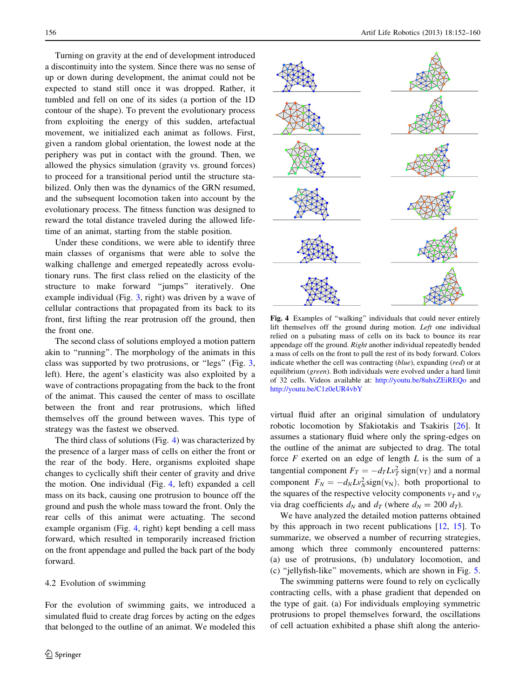<span id="page-4-0"></span>Turning on gravity at the end of development introduced a discontinuity into the system. Since there was no sense of up or down during development, the animat could not be expected to stand still once it was dropped. Rather, it tumbled and fell on one of its sides (a portion of the 1D contour of the shape). To prevent the evolutionary process from exploiting the energy of this sudden, artefactual movement, we initialized each animat as follows. First, given a random global orientation, the lowest node at the periphery was put in contact with the ground. Then, we allowed the physics simulation (gravity vs. ground forces) to proceed for a transitional period until the structure stabilized. Only then was the dynamics of the GRN resumed, and the subsequent locomotion taken into account by the evolutionary process. The fitness function was designed to reward the total distance traveled during the allowed lifetime of an animat, starting from the stable position.

Under these conditions, we were able to identify three main classes of organisms that were able to solve the walking challenge and emerged repeatedly across evolutionary runs. The first class relied on the elasticity of the structure to make forward ''jumps'' iteratively. One example individual (Fig. [3,](#page-3-0) right) was driven by a wave of cellular contractions that propagated from its back to its front, first lifting the rear protrusion off the ground, then the front one.

The second class of solutions employed a motion pattern akin to ''running''. The morphology of the animats in this class was supported by two protrusions, or ''legs'' (Fig. [3,](#page-3-0) left). Here, the agent's elasticity was also exploited by a wave of contractions propagating from the back to the front of the animat. This caused the center of mass to oscillate between the front and rear protrusions, which lifted themselves off the ground between waves. This type of strategy was the fastest we observed.

The third class of solutions (Fig. 4) was characterized by the presence of a larger mass of cells on either the front or the rear of the body. Here, organisms exploited shape changes to cyclically shift their center of gravity and drive the motion. One individual (Fig. 4, left) expanded a cell mass on its back, causing one protrusion to bounce off the ground and push the whole mass toward the front. Only the rear cells of this animat were actuating. The second example organism (Fig. 4, right) kept bending a cell mass forward, which resulted in temporarily increased friction on the front appendage and pulled the back part of the body forward.

#### 4.2 Evolution of swimming

For the evolution of swimming gaits, we introduced a simulated fluid to create drag forces by acting on the edges that belonged to the outline of an animat. We modeled this



Fig. 4 Examples of "walking" individuals that could never entirely lift themselves off the ground during motion. Left one individual relied on a pulsating mass of cells on its back to bounce its rear appendage off the ground. Right another individual repeatedly bended a mass of cells on the front to pull the rest of its body forward. Colors indicate whether the cell was contracting (blue), expanding (red) or at equilibrium (green). Both individuals were evolved under a hard limit of 32 cells. Videos available at: <http://youtu.be/8uhxZEiREQo> and <http://youtu.be/C1z0eUR4vbY>

virtual fluid after an original simulation of undulatory robotic locomotion by Sfakiotakis and Tsakiris [\[26](#page-8-0)]. It assumes a stationary fluid where only the spring-edges on the outline of the animat are subjected to drag. The total force  $F$  exerted on an edge of length  $L$  is the sum of a tangential component  $F_T = -d_T L v_T^2$  sign $(v_T)$  and a normal component  $F_N = -d_N L v_N^2 \text{sign}(v_N)$ , both proportional to the squares of the respective velocity components  $v_T$  and  $v_N$ via drag coefficients  $d_N$  and  $d_T$  (where  $d_N = 200 \ d_T$ ).

We have analyzed the detailed motion patterns obtained by this approach in two recent publications [\[12](#page-7-0), [15](#page-7-0)]. To summarize, we observed a number of recurring strategies, among which three commonly encountered patterns: (a) use of protrusions, (b) undulatory locomotion, and (c) ''jellyfish-like'' movements, which are shown in Fig. [5.](#page-5-0)

The swimming patterns were found to rely on cyclically contracting cells, with a phase gradient that depended on the type of gait. (a) For individuals employing symmetric protrusions to propel themselves forward, the oscillations of cell actuation exhibited a phase shift along the anterio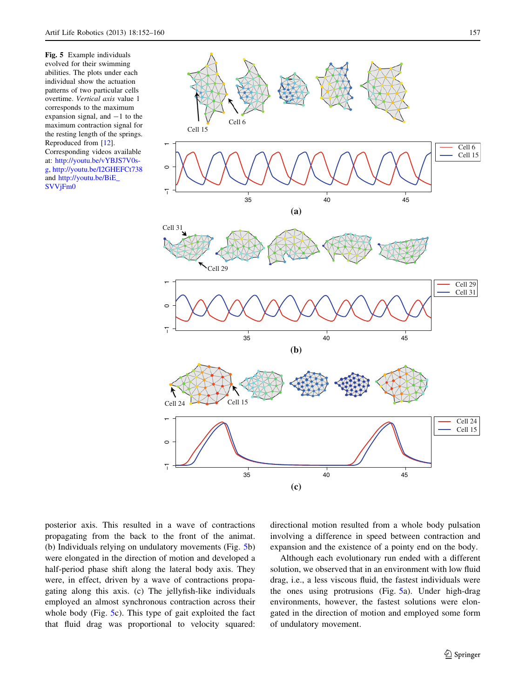<span id="page-5-0"></span>Fig. 5 Example individuals evolved for their swimming abilities. The plots under each individual show the actuation patterns of two particular cells overtime. Vertical axis value 1 corresponds to the maximum expansion signal, and  $-1$  to the maximum contraction signal for the resting length of the springs. Reproduced from [[12](#page-7-0)]. Corresponding videos available

at: [http://youtu.be/vYBJS7V0s](http://youtu.be/vYBJS7V0s-g)[g](http://youtu.be/vYBJS7V0s-g), <http://youtu.be/I2GHEFCt738> and [http://youtu.be/BiE\\_](http://youtu.be/BiE_SVVjFm0) [SVVjFm0](http://youtu.be/BiE_SVVjFm0)



posterior axis. This resulted in a wave of contractions propagating from the back to the front of the animat. (b) Individuals relying on undulatory movements (Fig. 5b) were elongated in the direction of motion and developed a half-period phase shift along the lateral body axis. They were, in effect, driven by a wave of contractions propagating along this axis. (c) The jellyfish-like individuals employed an almost synchronous contraction across their whole body (Fig. 5c). This type of gait exploited the fact that fluid drag was proportional to velocity squared: directional motion resulted from a whole body pulsation involving a difference in speed between contraction and expansion and the existence of a pointy end on the body.

Although each evolutionary run ended with a different solution, we observed that in an environment with low fluid drag, i.e., a less viscous fluid, the fastest individuals were the ones using protrusions (Fig. 5a). Under high-drag environments, however, the fastest solutions were elongated in the direction of motion and employed some form of undulatory movement.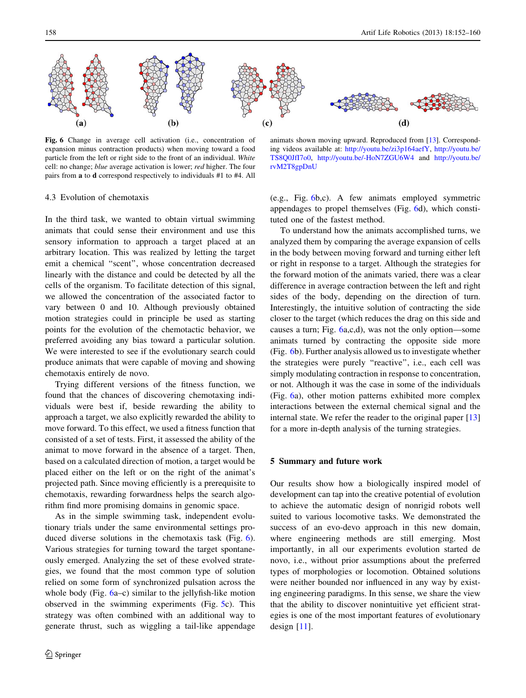

Fig. 6 Change in average cell activation (i.e., concentration of expansion minus contraction products) when moving toward a food particle from the left or right side to the front of an individual. White cell: no change; blue average activation is lower; red higher. The four pairs from a to d correspond respectively to individuals #1 to #4. All

animats shown moving upward. Reproduced from [[13](#page-7-0)]. Corresponding videos available at: [http://youtu.be/zi3p164aefY,](http://youtu.be/zi3p164aefY) [http://youtu.be/](http://youtu.be/TS8Q0JfI7o0) [TS8Q0JfI7o0](http://youtu.be/TS8Q0JfI7o0), <http://youtu.be/-HoN7ZGU6W4> and [http://youtu.be/](http://youtu.be/rvM2T8gpDnU) [rvM2T8gpDnU](http://youtu.be/rvM2T8gpDnU)

## 4.3 Evolution of chemotaxis

In the third task, we wanted to obtain virtual swimming animats that could sense their environment and use this sensory information to approach a target placed at an arbitrary location. This was realized by letting the target emit a chemical ''scent'', whose concentration decreased linearly with the distance and could be detected by all the cells of the organism. To facilitate detection of this signal, we allowed the concentration of the associated factor to vary between 0 and 10. Although previously obtained motion strategies could in principle be used as starting points for the evolution of the chemotactic behavior, we preferred avoiding any bias toward a particular solution. We were interested to see if the evolutionary search could produce animats that were capable of moving and showing chemotaxis entirely de novo.

Trying different versions of the fitness function, we found that the chances of discovering chemotaxing individuals were best if, beside rewarding the ability to approach a target, we also explicitly rewarded the ability to move forward. To this effect, we used a fitness function that consisted of a set of tests. First, it assessed the ability of the animat to move forward in the absence of a target. Then, based on a calculated direction of motion, a target would be placed either on the left or on the right of the animat's projected path. Since moving efficiently is a prerequisite to chemotaxis, rewarding forwardness helps the search algorithm find more promising domains in genomic space.

As in the simple swimming task, independent evolutionary trials under the same environmental settings produced diverse solutions in the chemotaxis task (Fig. 6). Various strategies for turning toward the target spontaneously emerged. Analyzing the set of these evolved strategies, we found that the most common type of solution relied on some form of synchronized pulsation across the whole body (Fig. 6a–c) similar to the jellyfish-like motion observed in the swimming experiments (Fig. [5](#page-5-0)c). This strategy was often combined with an additional way to generate thrust, such as wiggling a tail-like appendage (e.g., Fig. 6b,c). A few animats employed symmetric appendages to propel themselves (Fig. 6d), which constituted one of the fastest method.

To understand how the animats accomplished turns, we analyzed them by comparing the average expansion of cells in the body between moving forward and turning either left or right in response to a target. Although the strategies for the forward motion of the animats varied, there was a clear difference in average contraction between the left and right sides of the body, depending on the direction of turn. Interestingly, the intuitive solution of contracting the side closer to the target (which reduces the drag on this side and causes a turn; Fig. 6a,c,d), was not the only option—some animats turned by contracting the opposite side more (Fig. 6b). Further analysis allowed us to investigate whether the strategies were purely ''reactive'', i.e., each cell was simply modulating contraction in response to concentration, or not. Although it was the case in some of the individuals (Fig. 6a), other motion patterns exhibited more complex interactions between the external chemical signal and the internal state. We refer the reader to the original paper [[13\]](#page-7-0) for a more in-depth analysis of the turning strategies.

## 5 Summary and future work

Our results show how a biologically inspired model of development can tap into the creative potential of evolution to achieve the automatic design of nonrigid robots well suited to various locomotive tasks. We demonstrated the success of an evo-devo approach in this new domain, where engineering methods are still emerging. Most importantly, in all our experiments evolution started de novo, i.e., without prior assumptions about the preferred types of morphologies or locomotion. Obtained solutions were neither bounded nor influenced in any way by existing engineering paradigms. In this sense, we share the view that the ability to discover nonintuitive yet efficient strategies is one of the most important features of evolutionary design [[11\]](#page-7-0).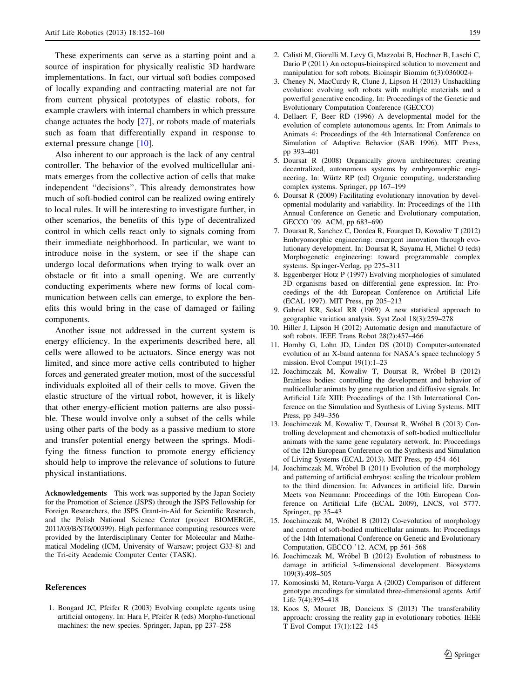<span id="page-7-0"></span>These experiments can serve as a starting point and a source of inspiration for physically realistic 3D hardware implementations. In fact, our virtual soft bodies composed of locally expanding and contracting material are not far from current physical prototypes of elastic robots, for example crawlers with internal chambers in which pressure change actuates the body [[27\]](#page-8-0), or robots made of materials such as foam that differentially expand in response to external pressure change [10].

Also inherent to our approach is the lack of any central controller. The behavior of the evolved multicellular animats emerges from the collective action of cells that make independent ''decisions''. This already demonstrates how much of soft-bodied control can be realized owing entirely to local rules. It will be interesting to investigate further, in other scenarios, the benefits of this type of decentralized control in which cells react only to signals coming from their immediate neighborhood. In particular, we want to introduce noise in the system, or see if the shape can undergo local deformations when trying to walk over an obstacle or fit into a small opening. We are currently conducting experiments where new forms of local communication between cells can emerge, to explore the benefits this would bring in the case of damaged or failing components.

Another issue not addressed in the current system is energy efficiency. In the experiments described here, all cells were allowed to be actuators. Since energy was not limited, and since more active cells contributed to higher forces and generated greater motion, most of the successful individuals exploited all of their cells to move. Given the elastic structure of the virtual robot, however, it is likely that other energy-efficient motion patterns are also possible. These would involve only a subset of the cells while using other parts of the body as a passive medium to store and transfer potential energy between the springs. Modifying the fitness function to promote energy efficiency should help to improve the relevance of solutions to future physical instantiations.

Acknowledgements This work was supported by the Japan Society for the Promotion of Science (JSPS) through the JSPS Fellowship for Foreign Researchers, the JSPS Grant-in-Aid for Scientific Research, and the Polish National Science Center (project BIOMERGE, 2011/03/B/ST6/00399). High performance computing resources were provided by the Interdisciplinary Center for Molecular and Mathematical Modeling (ICM, University of Warsaw; project G33-8) and the Tri-city Academic Computer Center (TASK).

#### References

1. Bongard JC, Pfeifer R (2003) Evolving complete agents using artificial ontogeny. In: Hara F, Pfeifer R (eds) Morpho-functional machines: the new species. Springer, Japan, pp 237–258

- 2. Calisti M, Giorelli M, Levy G, Mazzolai B, Hochner B, Laschi C, Dario P (2011) An octopus-bioinspired solution to movement and manipulation for soft robots. Bioinspir Biomim  $6(3)$ :036002+
- 3. Cheney N, MacCurdy R, Clune J, Lipson H (2013) Unshackling evolution: evolving soft robots with multiple materials and a powerful generative encoding. In: Proceedings of the Genetic and Evolutionary Computation Conference (GECCO)
- 4. Dellaert F, Beer RD (1996) A developmental model for the evolution of complete autonomous agents. In: From Animals to Animats 4: Proceedings of the 4th International Conference on Simulation of Adaptive Behavior (SAB 1996). MIT Press, pp 393–401
- 5. Doursat R (2008) Organically grown architectures: creating decentralized, autonomous systems by embryomorphic engineering. In: Würtz RP (ed) Organic computing, understanding complex systems. Springer, pp 167–199
- 6. Doursat R (2009) Facilitating evolutionary innovation by developmental modularity and variability. In: Proceedings of the 11th Annual Conference on Genetic and Evolutionary computation, GECCO '09. ACM, pp 683–690
- 7. Doursat R, Sanchez C, Dordea R, Fourquet D, Kowaliw T (2012) Embryomorphic engineering: emergent innovation through evolutionary development. In: Doursat R, Sayama H, Michel O (eds) Morphogenetic engineering: toward programmable complex systems. Springer-Verlag, pp 275–311
- 8. Eggenberger Hotz P (1997) Evolving morphologies of simulated 3D organisms based on differential gene expression. In: Proceedings of the 4th European Conference on Artificial Life (ECAL 1997). MIT Press, pp 205–213
- 9. Gabriel KR, Sokal RR (1969) A new statistical approach to geographic variation analysis. Syst Zool 18(3):259–278
- 10. Hiller J, Lipson H (2012) Automatic design and manufacture of soft robots. IEEE Trans Robot 28(2):457–466
- 11. Hornby G, Lohn JD, Linden DS (2010) Computer-automated evolution of an X-band antenna for NASA's space technology 5 mission. Evol Comput 19(1):1–23
- 12. Joachimczak M, Kowaliw T, Doursat R, Wróbel B (2012) Brainless bodies: controlling the development and behavior of multicellular animats by gene regulation and diffusive signals. In: Artificial Life XIII: Proceedings of the 13th International Conference on the Simulation and Synthesis of Living Systems. MIT Press, pp 349–356
- 13. Joachimczak M, Kowaliw T, Doursat R, Wróbel B (2013) Controlling development and chemotaxis of soft-bodied multicellular animats with the same gene regulatory network. In: Proceedings of the 12th European Conference on the Synthesis and Simulation of Living Systems (ECAL 2013). MIT Press, pp 454–461
- 14. Joachimczak M, Wróbel B (2011) Evolution of the morphology and patterning of artificial embryos: scaling the tricolour problem to the third dimension. In: Advances in artificial life. Darwin Meets von Neumann: Proceedings of the 10th European Conference on Artificial Life (ECAL 2009), LNCS, vol 5777. Springer, pp 35–43
- 15. Joachimczak M, Wróbel B (2012) Co-evolution of morphology and control of soft-bodied multicellular animats. In: Proceedings of the 14th International Conference on Genetic and Evolutionary Computation, GECCO '12. ACM, pp 561–568
- 16. Joachimczak M, Wróbel B (2012) Evolution of robustness to damage in artificial 3-dimensional development. Biosystems 109(3):498–505
- 17. Komosinski M, Rotaru-Varga A (2002) Comparison of different genotype encodings for simulated three-dimensional agents. Artif Life 7(4):395–418
- 18. Koos S, Mouret JB, Doncieux S (2013) The transferability approach: crossing the reality gap in evolutionary robotics. IEEE T Evol Comput 17(1):122–145